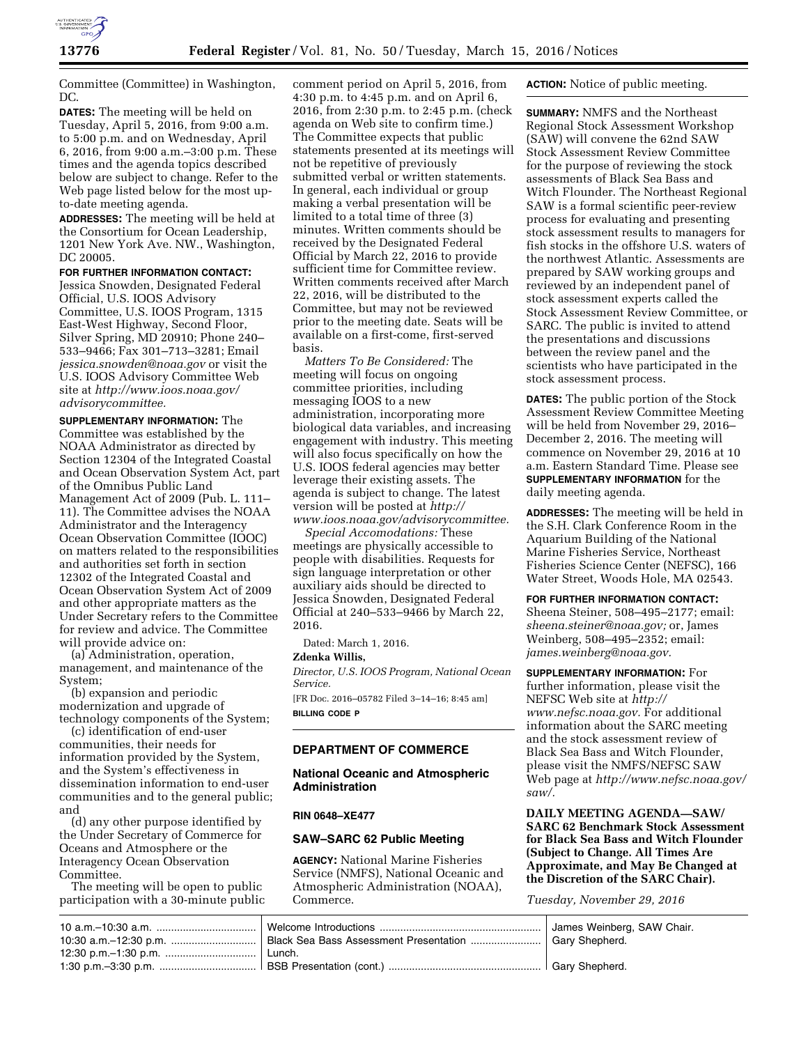

Committee (Committee) in Washington, DC.

**DATES:** The meeting will be held on Tuesday, April 5, 2016, from 9:00 a.m. to 5:00 p.m. and on Wednesday, April 6, 2016, from 9:00 a.m.–3:00 p.m. These times and the agenda topics described below are subject to change. Refer to the Web page listed below for the most upto-date meeting agenda.

**ADDRESSES:** The meeting will be held at the Consortium for Ocean Leadership, 1201 New York Ave. NW., Washington, DC 20005.

### **FOR FURTHER INFORMATION CONTACT:**

Jessica Snowden, Designated Federal Official, U.S. IOOS Advisory Committee, U.S. IOOS Program, 1315 East-West Highway, Second Floor, Silver Spring, MD 20910; Phone 240– 533–9466; Fax 301–713–3281; Email *[jessica.snowden@noaa.gov](mailto:jessica.snowden@noaa.gov)* or visit the U.S. IOOS Advisory Committee Web site at *[http://www.ioos.noaa.gov/](http://www.ioos.noaa.gov/advisorycommittee) [advisorycommittee.](http://www.ioos.noaa.gov/advisorycommittee)* 

**SUPPLEMENTARY INFORMATION:** The Committee was established by the NOAA Administrator as directed by Section 12304 of the Integrated Coastal and Ocean Observation System Act, part of the Omnibus Public Land Management Act of 2009 (Pub. L. 111– 11). The Committee advises the NOAA Administrator and the Interagency Ocean Observation Committee (IOOC) on matters related to the responsibilities and authorities set forth in section 12302 of the Integrated Coastal and Ocean Observation System Act of 2009 and other appropriate matters as the Under Secretary refers to the Committee for review and advice. The Committee will provide advice on:

(a) Administration, operation, management, and maintenance of the System;

(b) expansion and periodic modernization and upgrade of technology components of the System;

(c) identification of end-user communities, their needs for information provided by the System, and the System's effectiveness in dissemination information to end-user communities and to the general public; and

(d) any other purpose identified by the Under Secretary of Commerce for Oceans and Atmosphere or the Interagency Ocean Observation Committee.

The meeting will be open to public participation with a 30-minute public

comment period on April 5, 2016, from 4:30 p.m. to 4:45 p.m. and on April 6, 2016, from 2:30 p.m. to 2:45 p.m. (check agenda on Web site to confirm time.) The Committee expects that public statements presented at its meetings will not be repetitive of previously submitted verbal or written statements. In general, each individual or group making a verbal presentation will be limited to a total time of three (3) minutes. Written comments should be received by the Designated Federal Official by March 22, 2016 to provide sufficient time for Committee review. Written comments received after March 22, 2016, will be distributed to the Committee, but may not be reviewed prior to the meeting date. Seats will be available on a first-come, first-served basis.

*Matters To Be Considered:* The meeting will focus on ongoing committee priorities, including messaging IOOS to a new administration, incorporating more biological data variables, and increasing engagement with industry. This meeting will also focus specifically on how the U.S. IOOS federal agencies may better leverage their existing assets. The agenda is subject to change. The latest version will be posted at *[http://](http://www.ioos.noaa.gov/advisorycommittee) [www.ioos.noaa.gov/advisorycommittee.](http://www.ioos.noaa.gov/advisorycommittee)* 

*Special Accomodations:* These meetings are physically accessible to people with disabilities. Requests for sign language interpretation or other auxiliary aids should be directed to Jessica Snowden, Designated Federal Official at 240–533–9466 by March 22, 2016.

Dated: March 1, 2016.

#### **Zdenka Willis,**

*Director, U.S. IOOS Program, National Ocean Service.* 

[FR Doc. 2016–05782 Filed 3–14–16; 8:45 am] **BILLING CODE P** 

# **DEPARTMENT OF COMMERCE**

## **National Oceanic and Atmospheric Administration**

#### **RIN 0648–XE477**

## **SAW–SARC 62 Public Meeting**

**AGENCY:** National Marine Fisheries Service (NMFS), National Oceanic and Atmospheric Administration (NOAA), Commerce.

## **ACTION:** Notice of public meeting.

**SUMMARY:** NMFS and the Northeast Regional Stock Assessment Workshop (SAW) will convene the 62nd SAW Stock Assessment Review Committee for the purpose of reviewing the stock assessments of Black Sea Bass and Witch Flounder. The Northeast Regional SAW is a formal scientific peer-review process for evaluating and presenting stock assessment results to managers for fish stocks in the offshore U.S. waters of the northwest Atlantic. Assessments are prepared by SAW working groups and reviewed by an independent panel of stock assessment experts called the Stock Assessment Review Committee, or SARC. The public is invited to attend the presentations and discussions between the review panel and the scientists who have participated in the stock assessment process.

**DATES:** The public portion of the Stock Assessment Review Committee Meeting will be held from November 29, 2016– December 2, 2016. The meeting will commence on November 29, 2016 at 10 a.m. Eastern Standard Time. Please see **SUPPLEMENTARY INFORMATION** for the daily meeting agenda.

**ADDRESSES:** The meeting will be held in the S.H. Clark Conference Room in the Aquarium Building of the National Marine Fisheries Service, Northeast Fisheries Science Center (NEFSC), 166 Water Street, Woods Hole, MA 02543.

# **FOR FURTHER INFORMATION CONTACT:**

Sheena Steiner, 508–495–2177; email: *[sheena.steiner@noaa.gov;](mailto:sheena.steiner@noaa.gov)* or, James Weinberg, 508–495–2352; email: *[james.weinberg@noaa.gov.](mailto:james.weinberg@noaa.gov)* 

**SUPPLEMENTARY INFORMATION:** For further information, please visit the NEFSC Web site at *[http://](http://www.nefsc.noaa.gov) [www.nefsc.noaa.gov.](http://www.nefsc.noaa.gov)* For additional information about the SARC meeting and the stock assessment review of Black Sea Bass and Witch Flounder, please visit the NMFS/NEFSC SAW Web page at *[http://www.nefsc.noaa.gov/](http://www.nefsc.noaa.gov/saw/)  [saw/.](http://www.nefsc.noaa.gov/saw/)* 

**DAILY MEETING AGENDA—SAW/ SARC 62 Benchmark Stock Assessment for Black Sea Bass and Witch Flounder (Subject to Change. All Times Are Approximate, and May Be Changed at the Discretion of the SARC Chair).** 

*Tuesday, November 29, 2016* 

| 10:30 a.m.–12:30 p.m. …………………………   Black Sea Bass Assessment Presentation ………………… | James Weinberg, SAW Chair.<br>Gary Shepherd. |
|-----------------------------------------------------------------------------------|----------------------------------------------|
| Lunch.                                                                            |                                              |
|                                                                                   | Garv Shepherd.                               |